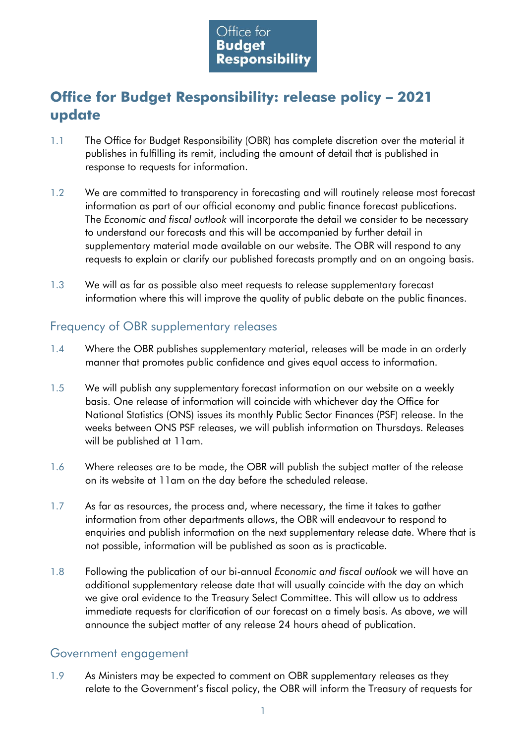

# **Office for Budget Responsibility: release policy – 2021 update**

- 1.1 The Office for Budget Responsibility (OBR) has complete discretion over the material it publishes in fulfilling its remit, including the amount of detail that is published in response to requests for information.
- 1.2 We are committed to transparency in forecasting and will routinely release most forecast information as part of our official economy and public finance forecast publications. The *Economic and fiscal outlook* will incorporate the detail we consider to be necessary to understand our forecasts and this will be accompanied by further detail in supplementary material made available on our website. The OBR will respond to any requests to explain or clarify our published forecasts promptly and on an ongoing basis.
- 1.3 We will as far as possible also meet requests to release supplementary forecast information where this will improve the quality of public debate on the public finances.

## Frequency of OBR supplementary releases

- 1.4 Where the OBR publishes supplementary material, releases will be made in an orderly manner that promotes public confidence and gives equal access to information.
- 1.5 We will publish any supplementary forecast information on our website on a weekly basis. One release of information will coincide with whichever day the Office for National Statistics (ONS) issues its monthly Public Sector Finances (PSF) release. In the weeks between ONS PSF releases, we will publish information on Thursdays. Releases will be published at 11am.
- 1.6 Where releases are to be made, the OBR will publish the subject matter of the release on its website at 11am on the day before the scheduled release.
- 1.7 As far as resources, the process and, where necessary, the time it takes to gather information from other departments allows, the OBR will endeavour to respond to enquiries and publish information on the next supplementary release date. Where that is not possible, information will be published as soon as is practicable.
- 1.8 Following the publication of our bi-annual *Economic and fiscal outlook* we will have an additional supplementary release date that will usually coincide with the day on which we give oral evidence to the Treasury Select Committee. This will allow us to address immediate requests for clarification of our forecast on a timely basis. As above, we will announce the subject matter of any release 24 hours ahead of publication.

#### Government engagement

1.9 As Ministers may be expected to comment on OBR supplementary releases as they relate to the Government's fiscal policy, the OBR will inform the Treasury of requests for